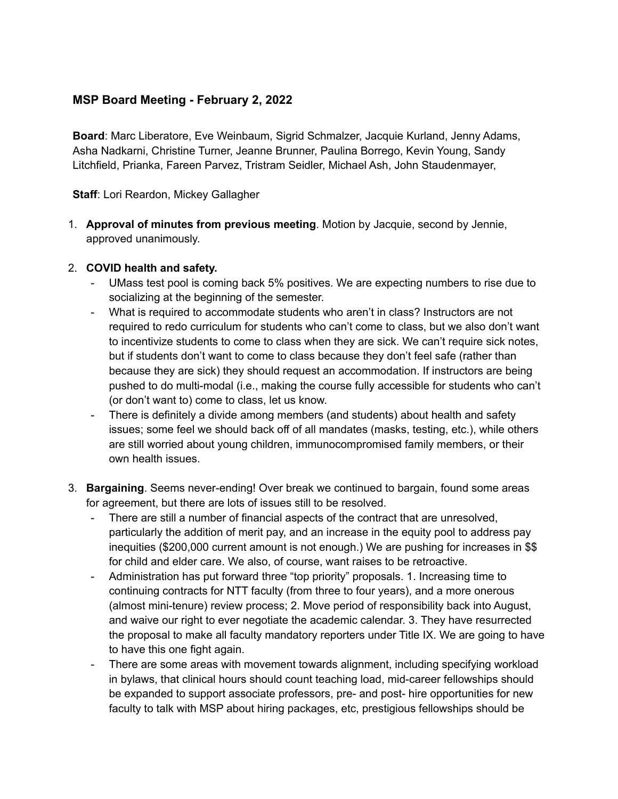## **MSP Board Meeting - February 2, 2022**

**Board**: Marc Liberatore, Eve Weinbaum, Sigrid Schmalzer, Jacquie Kurland, Jenny Adams, Asha Nadkarni, Christine Turner, Jeanne Brunner, Paulina Borrego, Kevin Young, Sandy Litchfield, Prianka, Fareen Parvez, Tristram Seidler, Michael Ash, John Staudenmayer,

## **Staff**: Lori Reardon, Mickey Gallagher

1. **Approval of minutes from previous meeting**. Motion by Jacquie, second by Jennie, approved unanimously.

## 2. **COVID health and safety.**

- UMass test pool is coming back 5% positives. We are expecting numbers to rise due to socializing at the beginning of the semester.
- What is required to accommodate students who aren't in class? Instructors are not required to redo curriculum for students who can't come to class, but we also don't want to incentivize students to come to class when they are sick. We can't require sick notes, but if students don't want to come to class because they don't feel safe (rather than because they are sick) they should request an accommodation. If instructors are being pushed to do multi-modal (i.e., making the course fully accessible for students who can't (or don't want to) come to class, let us know.
- There is definitely a divide among members (and students) about health and safety issues; some feel we should back off of all mandates (masks, testing, etc.), while others are still worried about young children, immunocompromised family members, or their own health issues.
- 3. **Bargaining**. Seems never-ending! Over break we continued to bargain, found some areas for agreement, but there are lots of issues still to be resolved.
	- There are still a number of financial aspects of the contract that are unresolved, particularly the addition of merit pay, and an increase in the equity pool to address pay inequities (\$200,000 current amount is not enough.) We are pushing for increases in \$\$ for child and elder care. We also, of course, want raises to be retroactive.
	- Administration has put forward three "top priority" proposals. 1. Increasing time to continuing contracts for NTT faculty (from three to four years), and a more onerous (almost mini-tenure) review process; 2. Move period of responsibility back into August, and waive our right to ever negotiate the academic calendar. 3. They have resurrected the proposal to make all faculty mandatory reporters under Title IX. We are going to have to have this one fight again.
	- There are some areas with movement towards alignment, including specifying workload in bylaws, that clinical hours should count teaching load, mid-career fellowships should be expanded to support associate professors, pre- and post- hire opportunities for new faculty to talk with MSP about hiring packages, etc, prestigious fellowships should be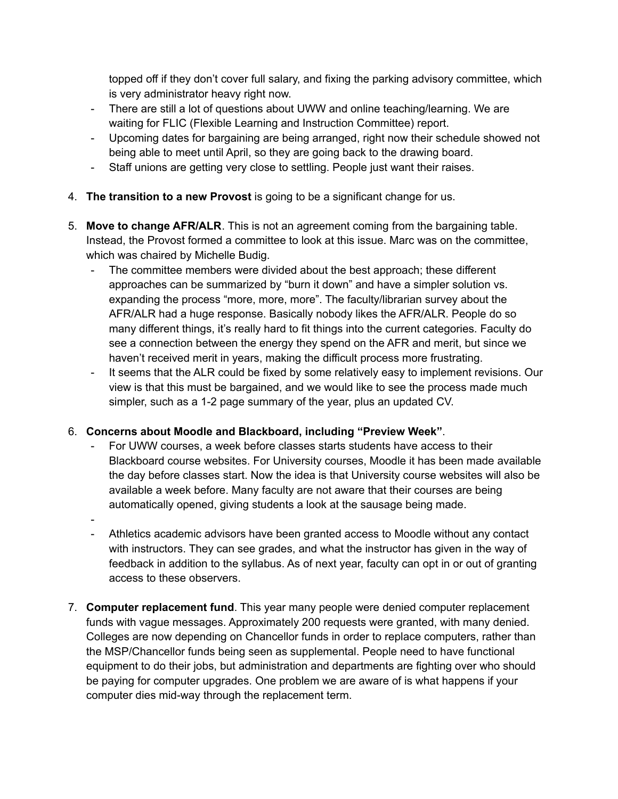topped off if they don't cover full salary, and fixing the parking advisory committee, which is very administrator heavy right now.

- There are still a lot of questions about UWW and online teaching/learning. We are waiting for FLIC (Flexible Learning and Instruction Committee) report.
- Upcoming dates for bargaining are being arranged, right now their schedule showed not being able to meet until April, so they are going back to the drawing board.
- Staff unions are getting very close to settling. People just want their raises.
- 4. **The transition to a new Provost** is going to be a significant change for us.
- 5. **Move to change AFR/ALR**. This is not an agreement coming from the bargaining table. Instead, the Provost formed a committee to look at this issue. Marc was on the committee, which was chaired by Michelle Budig.
	- The committee members were divided about the best approach; these different approaches can be summarized by "burn it down" and have a simpler solution vs. expanding the process "more, more, more". The faculty/librarian survey about the AFR/ALR had a huge response. Basically nobody likes the AFR/ALR. People do so many different things, it's really hard to fit things into the current categories. Faculty do see a connection between the energy they spend on the AFR and merit, but since we haven't received merit in years, making the difficult process more frustrating.
	- It seems that the ALR could be fixed by some relatively easy to implement revisions. Our view is that this must be bargained, and we would like to see the process made much simpler, such as a 1-2 page summary of the year, plus an updated CV.

## 6. **Concerns about Moodle and Blackboard, including "Preview Week"**.

- For UWW courses, a week before classes starts students have access to their Blackboard course websites. For University courses, Moodle it has been made available the day before classes start. Now the idea is that University course websites will also be available a week before. Many faculty are not aware that their courses are being automatically opened, giving students a look at the sausage being made.
- -
- Athletics academic advisors have been granted access to Moodle without any contact with instructors. They can see grades, and what the instructor has given in the way of feedback in addition to the syllabus. As of next year, faculty can opt in or out of granting access to these observers.
- 7. **Computer replacement fund**. This year many people were denied computer replacement funds with vague messages. Approximately 200 requests were granted, with many denied. Colleges are now depending on Chancellor funds in order to replace computers, rather than the MSP/Chancellor funds being seen as supplemental. People need to have functional equipment to do their jobs, but administration and departments are fighting over who should be paying for computer upgrades. One problem we are aware of is what happens if your computer dies mid-way through the replacement term.